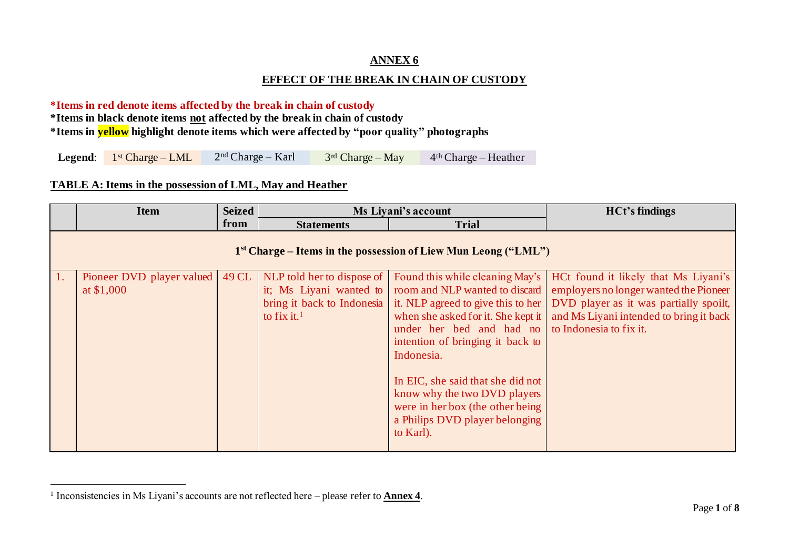## **ANNEX 6**

### **EFFECT OF THE BREAK IN CHAIN OF CUSTODY**

#### **\*Items in red denote items affected by the break in chain of custody**

**\*Items in black denote items not affected by the break in chain of custody**

**\*Items in yellow highlight denote items which were affected by "poor quality" photographs**

|  |  | <b>Legend:</b> $1^{st}$ Charge – LML | $2nd Charge - Karl$ | $3rd$ Charge – May | $4th Charge - Heather$ |
|--|--|--------------------------------------|---------------------|--------------------|------------------------|
|--|--|--------------------------------------|---------------------|--------------------|------------------------|

#### **TABLE A: Items in the possession of LML, May and Heather**

|                  | <b>Item</b>                                                      | <b>Seized</b> | Ms Liyani's account     |                                                                                                                                                                                                                                                                                                                                                                                                                                                                    | <b>HCt's findings</b>                                                                                                                                                                          |  |  |  |
|------------------|------------------------------------------------------------------|---------------|-------------------------|--------------------------------------------------------------------------------------------------------------------------------------------------------------------------------------------------------------------------------------------------------------------------------------------------------------------------------------------------------------------------------------------------------------------------------------------------------------------|------------------------------------------------------------------------------------------------------------------------------------------------------------------------------------------------|--|--|--|
|                  |                                                                  | from          | <b>Statements</b>       | <b>Trial</b>                                                                                                                                                                                                                                                                                                                                                                                                                                                       |                                                                                                                                                                                                |  |  |  |
|                  | $1st Charge - Items in the possession of Liew Mun Leong ("LML")$ |               |                         |                                                                                                                                                                                                                                                                                                                                                                                                                                                                    |                                                                                                                                                                                                |  |  |  |
| $\overline{1}$ . | Pioneer DVD player valued<br>at \$1,000                          | 49 CL         | to fix it. <sup>1</sup> | NLP told her to dispose of Found this while cleaning May's<br>it; Ms Liyani wanted to room and NLP wanted to discard<br>bring it back to Indonesia it. NLP agreed to give this to her<br>when she asked for it. She kept it<br>under her bed and had no<br>intention of bringing it back to<br>Indonesia.<br>In EIC, she said that she did not<br>know why the two DVD players<br>were in her box (the other being)<br>a Philips DVD player belonging<br>to Karl). | HCt found it likely that Ms Liyani's<br>employers no longer wanted the Pioneer<br>DVD player as it was partially spoilt,<br>and Ms Liyani intended to bring it back<br>to Indonesia to fix it. |  |  |  |

<sup>&</sup>lt;sup>1</sup> Inconsistencies in Ms Liyani's accounts are not reflected here – please refer to **Annex 4**.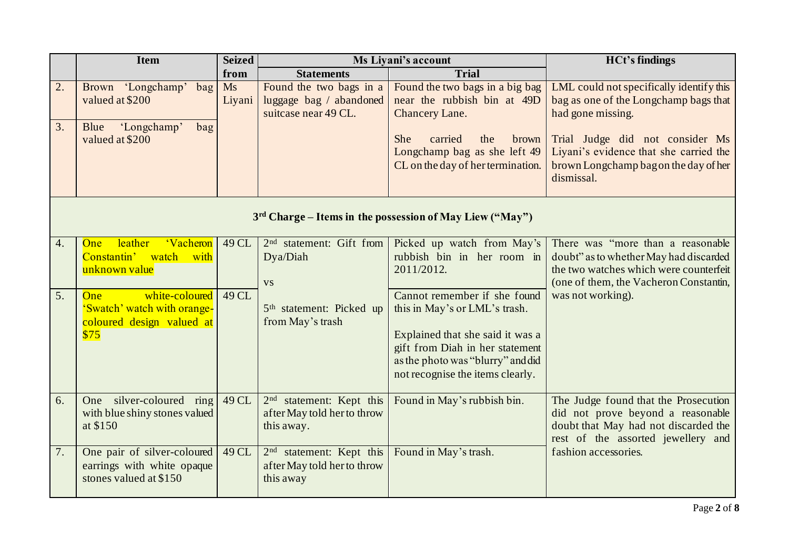|                  | <b>Item</b>                                                                         | <b>Seized</b> |                                                                                      | Ms Liyani's account                                                                                                                          | <b>HCt's findings</b>                                                                                                                                            |  |  |  |
|------------------|-------------------------------------------------------------------------------------|---------------|--------------------------------------------------------------------------------------|----------------------------------------------------------------------------------------------------------------------------------------------|------------------------------------------------------------------------------------------------------------------------------------------------------------------|--|--|--|
|                  |                                                                                     | from          | <b>Statements</b>                                                                    | <b>Trial</b>                                                                                                                                 |                                                                                                                                                                  |  |  |  |
| 2.<br>3.         | Brown 'Longchamp' bag<br>valued at \$200<br>'Longchamp'<br>Blue<br>bag              | Ms<br>Liyani  | Found the two bags in a<br>luggage bag / abandoned<br>suitcase near 49 CL.           | Found the two bags in a big bag<br>near the rubbish bin at 49D<br>Chancery Lane.                                                             | LML could not specifically identify this<br>bag as one of the Longchamp bags that<br>had gone missing.                                                           |  |  |  |
|                  | valued at \$200                                                                     |               |                                                                                      | She<br>carried<br>the<br>brown<br>Longchamp bag as she left 49<br>CL on the day of her termination.                                          | Trial Judge did not consider Ms<br>Liyani's evidence that she carried the<br>brown Longchamp bag on the day of her<br>dismissal.                                 |  |  |  |
|                  | 3rd Charge – Items in the possession of May Liew ("May")                            |               |                                                                                      |                                                                                                                                              |                                                                                                                                                                  |  |  |  |
| $\overline{4}$ . | leather<br><b>Vacheron</b><br>One<br>Constantin' watch<br>with<br>unknown value     | 49 CL         | 2 <sup>nd</sup> statement: Gift from<br>Dya/Diah<br><b>VS</b>                        | Picked up watch from May's<br>rubbish bin in her room in<br>2011/2012.                                                                       | There was "more than a reasonable"<br>doubt" as to whether May had discarded<br>the two watches which were counterfeit<br>(one of them, the Vacheron Constantin, |  |  |  |
| 5.               | white-coloured<br>One<br>'Swatch' watch with orange-<br>coloured design valued at   | 49 CL         | 5 <sup>th</sup> statement: Picked up<br>from May's trash                             | Cannot remember if she found<br>this in May's or LML's trash.                                                                                | was not working).                                                                                                                                                |  |  |  |
|                  | \$75                                                                                |               |                                                                                      | Explained that she said it was a<br>gift from Diah in her statement<br>as the photo was "blurry" and did<br>not recognise the items clearly. |                                                                                                                                                                  |  |  |  |
| 6.               | One silver-coloured ring<br>with blue shiny stones valued<br>at \$150               | 49 CL         | statement: Kept this<br>2 <sup>nd</sup><br>after May told her to throw<br>this away. | Found in May's rubbish bin.                                                                                                                  | The Judge found that the Prosecution<br>did not prove beyond a reasonable<br>doubt that May had not discarded the<br>rest of the assorted jewellery and          |  |  |  |
| 7.               | One pair of silver-coloured<br>earrings with white opaque<br>stones valued at \$150 | 49 CL         | 2 <sup>nd</sup> statement: Kept this<br>after May told her to throw<br>this away     | Found in May's trash.                                                                                                                        | fashion accessories.                                                                                                                                             |  |  |  |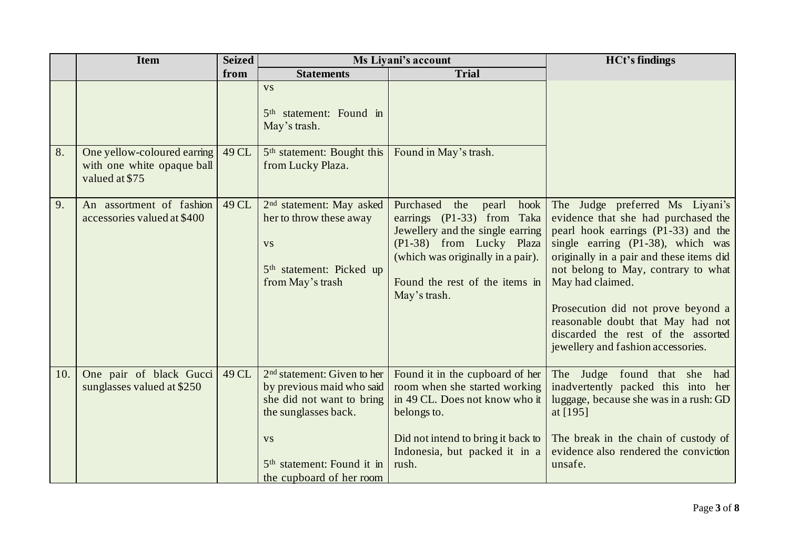|     | <b>Item</b>                                                                 | <b>Seized</b> | Ms Liyani's account                                                                                                                                                                                |                                                                                                                                                                                                                        | <b>HCt's findings</b>                                                                                                                                                                                                                                                                                                                                                                                            |
|-----|-----------------------------------------------------------------------------|---------------|----------------------------------------------------------------------------------------------------------------------------------------------------------------------------------------------------|------------------------------------------------------------------------------------------------------------------------------------------------------------------------------------------------------------------------|------------------------------------------------------------------------------------------------------------------------------------------------------------------------------------------------------------------------------------------------------------------------------------------------------------------------------------------------------------------------------------------------------------------|
|     |                                                                             | from          | <b>Statements</b>                                                                                                                                                                                  | <b>Trial</b>                                                                                                                                                                                                           |                                                                                                                                                                                                                                                                                                                                                                                                                  |
|     |                                                                             |               | <b>VS</b><br>5 <sup>th</sup> statement: Found in<br>May's trash.                                                                                                                                   |                                                                                                                                                                                                                        |                                                                                                                                                                                                                                                                                                                                                                                                                  |
| 8.  | One yellow-coloured earning<br>with one white opaque ball<br>valued at \$75 | 49 CL         | 5 <sup>th</sup> statement: Bought this<br>from Lucky Plaza.                                                                                                                                        | Found in May's trash.                                                                                                                                                                                                  |                                                                                                                                                                                                                                                                                                                                                                                                                  |
| 9.  | An assortment of fashion<br>accessories valued at \$400                     | 49 CL         | $2nd$ statement: May asked<br>her to throw these away<br><b>VS</b><br>5 <sup>th</sup> statement: Picked up<br>from May's trash                                                                     | Purchased<br>the<br>pearl<br>hook<br>earrings (P1-33) from Taka<br>Jewellery and the single earring<br>(P1-38) from Lucky Plaza<br>(which was originally in a pair).<br>Found the rest of the items in<br>May's trash. | The Judge preferred Ms Liyani's<br>evidence that she had purchased the<br>pearl hook earrings (P1-33) and the<br>single earning (P1-38), which was<br>originally in a pair and these items did<br>not belong to May, contrary to what<br>May had claimed.<br>Prosecution did not prove beyond a<br>reasonable doubt that May had not<br>discarded the rest of the assorted<br>jewellery and fashion accessories. |
| 10. | One pair of black Gucci<br>sunglasses valued at \$250                       | 49 CL         | $2nd$ statement: Given to her<br>by previous maid who said<br>she did not want to bring<br>the sunglasses back.<br><b>VS</b><br>5 <sup>th</sup> statement: Found it in<br>the cupboard of her room | Found it in the cupboard of her<br>room when she started working<br>in 49 CL. Does not know who it<br>belongs to.<br>Did not intend to bring it back to<br>Indonesia, but packed it in a<br>rush.                      | The Judge found that she<br>had<br>inadvertently packed this into her<br>luggage, because she was in a rush: GD<br>at [195]<br>The break in the chain of custody of<br>evidence also rendered the conviction<br>unsafe.                                                                                                                                                                                          |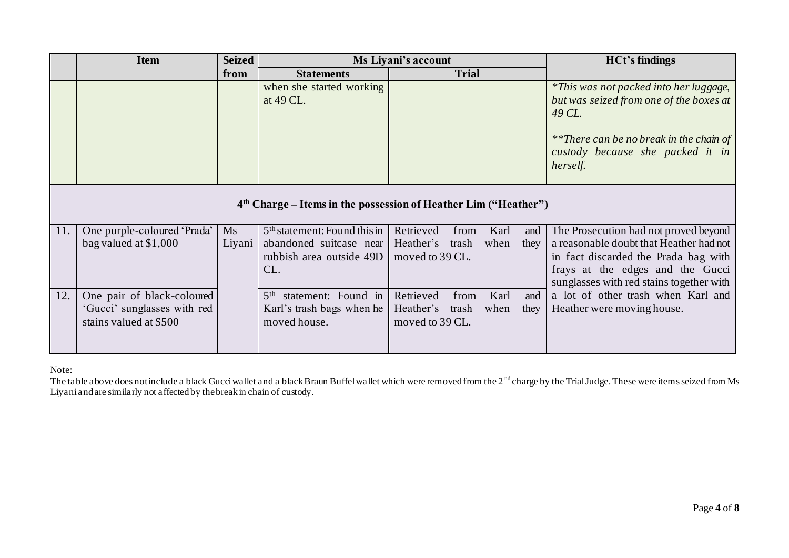|     | <b>Item</b>                                                       | <b>Seized</b> | Ms Liyani's account                       |                              |              | <b>HCt's findings</b> |      |                                                                                                                                                                                               |
|-----|-------------------------------------------------------------------|---------------|-------------------------------------------|------------------------------|--------------|-----------------------|------|-----------------------------------------------------------------------------------------------------------------------------------------------------------------------------------------------|
|     |                                                                   | from          | <b>Statements</b>                         |                              | <b>Trial</b> |                       |      |                                                                                                                                                                                               |
|     |                                                                   |               | when she started working<br>at 49 CL.     |                              |              |                       |      | <i>*This was not packed into her luggage,</i><br>but was seized from one of the boxes at<br>49 CL.<br>**There can be no break in the chain of<br>custody because she packed it in<br>herself. |
|     | $4th$ Charge – Items in the possession of Heather Lim ("Heather") |               |                                           |                              |              |                       |      |                                                                                                                                                                                               |
| 11. | One purple-coloured 'Prada'                                       | Ms            | 5 <sup>th</sup> statement: Found this in  | Retrieved                    | from         | Karl                  | and  | The Prosecution had not proved beyond                                                                                                                                                         |
|     | bag valued at $$1,000$                                            | Liyani        | abandoned suitcase near                   | Heather's                    | trash        | when                  | they | a reasonable doubt that Heather had not                                                                                                                                                       |
|     |                                                                   |               | rubbish area outside 49D                  | moved to 39 CL.              |              |                       |      | in fact discarded the Prada bag with                                                                                                                                                          |
|     |                                                                   |               | CL.                                       |                              |              |                       |      | frays at the edges and the Gucci<br>sunglasses with red stains together with                                                                                                                  |
| 12. | One pair of black-coloured                                        |               | statement: Found in<br>5 <sup>th</sup>    | Retrieved                    | from         | Karl                  | and  | a lot of other trash when Karl and                                                                                                                                                            |
|     | 'Gucci' sunglasses with red<br>stains valued at \$500             |               | Karl's trash bags when he<br>moved house. | Heather's<br>moved to 39 CL. | trash        | when                  | they | Heather were moving house.                                                                                                                                                                    |
|     |                                                                   |               |                                           |                              |              |                       |      |                                                                                                                                                                                               |

Note:

The table above does not include a black Gucci wallet and a black Braun Buffel wallet which were removed from the 2<sup>nd</sup> charge by the Trial Judge. These were items seized from Ms Liyani and are similarly not affected by the break in chain of custody.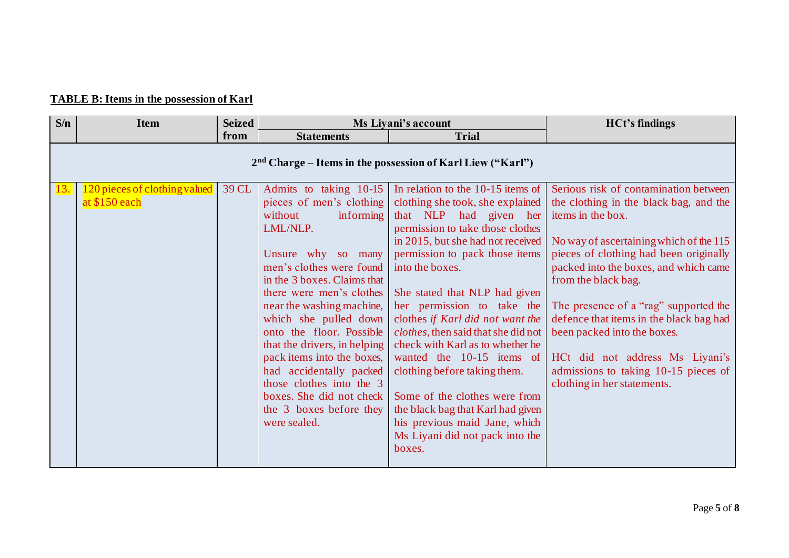# **TABLE B: Items in the possession of Karl**

| S/n | <b>Item</b>                                                  | <b>Seized</b> |                                                                                                                                                                                                                                                                                                                                                                                                                                                                                                   | Ms Liyani's account                                                                                                                                                                                                                                                                                                                                                                                                                                                                                                                                                                                       | <b>HCt's findings</b>                                                                                                                                                                                                                                                                                                                                                                                                                                                                  |  |  |  |  |
|-----|--------------------------------------------------------------|---------------|---------------------------------------------------------------------------------------------------------------------------------------------------------------------------------------------------------------------------------------------------------------------------------------------------------------------------------------------------------------------------------------------------------------------------------------------------------------------------------------------------|-----------------------------------------------------------------------------------------------------------------------------------------------------------------------------------------------------------------------------------------------------------------------------------------------------------------------------------------------------------------------------------------------------------------------------------------------------------------------------------------------------------------------------------------------------------------------------------------------------------|----------------------------------------------------------------------------------------------------------------------------------------------------------------------------------------------------------------------------------------------------------------------------------------------------------------------------------------------------------------------------------------------------------------------------------------------------------------------------------------|--|--|--|--|
|     |                                                              | from          | <b>Statements</b>                                                                                                                                                                                                                                                                                                                                                                                                                                                                                 | <b>Trial</b>                                                                                                                                                                                                                                                                                                                                                                                                                                                                                                                                                                                              |                                                                                                                                                                                                                                                                                                                                                                                                                                                                                        |  |  |  |  |
|     | $2nd$ Charge – Items in the possession of Karl Liew ("Karl") |               |                                                                                                                                                                                                                                                                                                                                                                                                                                                                                                   |                                                                                                                                                                                                                                                                                                                                                                                                                                                                                                                                                                                                           |                                                                                                                                                                                                                                                                                                                                                                                                                                                                                        |  |  |  |  |
| 13. | 120 pieces of clothing valued<br>at $$150$ each              | 39 CL         | Admits to taking 10-15<br>pieces of men's clothing<br>informing<br>without<br>LML/NLP.<br>Unsure why so many<br>men's clothes were found into the boxes.<br>in the 3 boxes. Claims that<br>there were men's clothes<br>near the washing machine,<br>which she pulled down<br>onto the floor. Possible<br>that the drivers, in helping<br>pack items into the boxes,<br>had accidentally packed<br>those clothes into the 3<br>boxes. She did not check<br>the 3 boxes before they<br>were sealed. | In relation to the 10-15 items of<br>clothing she took, she explained<br>that NLP had given her<br>permission to take those clothes<br>in 2015, but she had not received<br>permission to pack those items<br>She stated that NLP had given<br>her permission to take the<br>clothes if Karl did not want the<br>clothes, then said that she did not<br>check with Karl as to whether he<br>wanted the 10-15 items of<br>clothing before taking them.<br>Some of the clothes were from<br>the black bag that Karl had given<br>his previous maid Jane, which<br>Ms Liyani did not pack into the<br>boxes. | Serious risk of contamination between<br>the clothing in the black bag, and the<br>items in the box.<br>No way of ascertaining which of the 115<br>pieces of clothing had been originally<br>packed into the boxes, and which came<br>from the black bag.<br>The presence of a "rag" supported the<br>defence that items in the black bag had<br>been packed into the boxes.<br>HCt did not address Ms Liyani's<br>admissions to taking 10-15 pieces of<br>clothing in her statements. |  |  |  |  |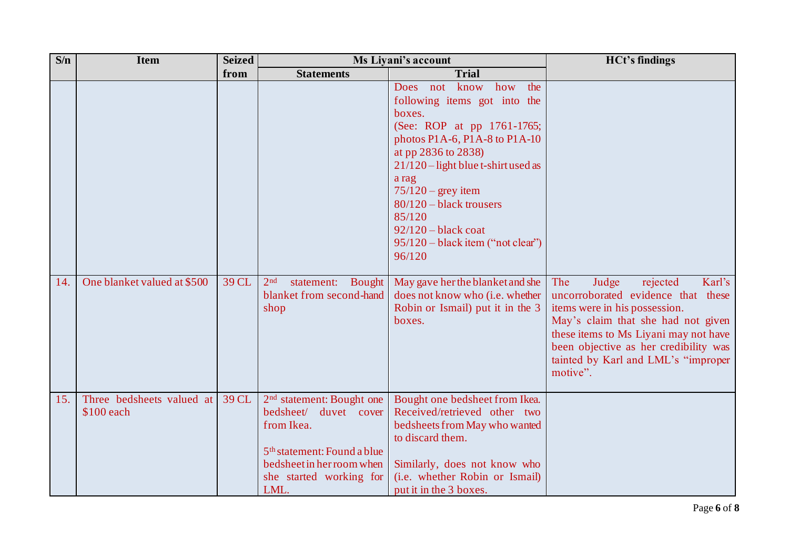| S/n | <b>Item</b>                             | <b>Seized</b> | Ms Liyani's account                                                                                                                                                                     |                                                                                                                                                                                                                                                                                                                                                    | <b>HCt's findings</b>                                                                                                                                                                                                                                                                |
|-----|-----------------------------------------|---------------|-----------------------------------------------------------------------------------------------------------------------------------------------------------------------------------------|----------------------------------------------------------------------------------------------------------------------------------------------------------------------------------------------------------------------------------------------------------------------------------------------------------------------------------------------------|--------------------------------------------------------------------------------------------------------------------------------------------------------------------------------------------------------------------------------------------------------------------------------------|
|     |                                         | from          | <b>Statements</b>                                                                                                                                                                       | <b>Trial</b>                                                                                                                                                                                                                                                                                                                                       |                                                                                                                                                                                                                                                                                      |
|     |                                         |               |                                                                                                                                                                                         | know how<br>the<br>Does not<br>following items got into the<br>boxes.<br>(See: ROP at pp 1761-1765;<br>photos P1A-6, P1A-8 to P1A-10<br>at pp 2836 to 2838)<br>21/120 – light blue t-shirt used as<br>a rag<br>$75/120$ – grey item<br>$80/120$ – black trousers<br>85/120<br>$92/120 - black$ coat<br>95/120 - black item ("not clear")<br>96/120 |                                                                                                                                                                                                                                                                                      |
| 14. | One blanket valued at \$500             | 39 CL         | 2 <sub>nd</sub><br>statement:<br>Bought<br>blanket from second-hand<br>shop                                                                                                             | May gave her the blanket and she<br>does not know who (i.e. whether<br>Robin or Ismail) put it in the 3<br>boxes.                                                                                                                                                                                                                                  | Karl's<br>The<br>Judge<br>rejected<br>uncorroborated evidence that these<br>items were in his possession.<br>May's claim that she had not given<br>these items to Ms Liyani may not have<br>been objective as her credibility was<br>tainted by Karl and LML's "improper<br>motive". |
| 15. | Three bedsheets valued at<br>\$100 each | 39 CL         | 2 <sup>nd</sup> statement: Bought one<br>bedsheet/ duvet cover<br>from Ikea.<br>5 <sup>th</sup> statement: Found a blue<br>bedsheet in her room when<br>she started working for<br>LML. | Bought one bedsheet from Ikea.<br>Received/retrieved other two<br>bedsheets from May who wanted<br>to discard them.<br>Similarly, does not know who<br>(i.e. whether Robin or Ismail)<br>put it in the 3 boxes.                                                                                                                                    |                                                                                                                                                                                                                                                                                      |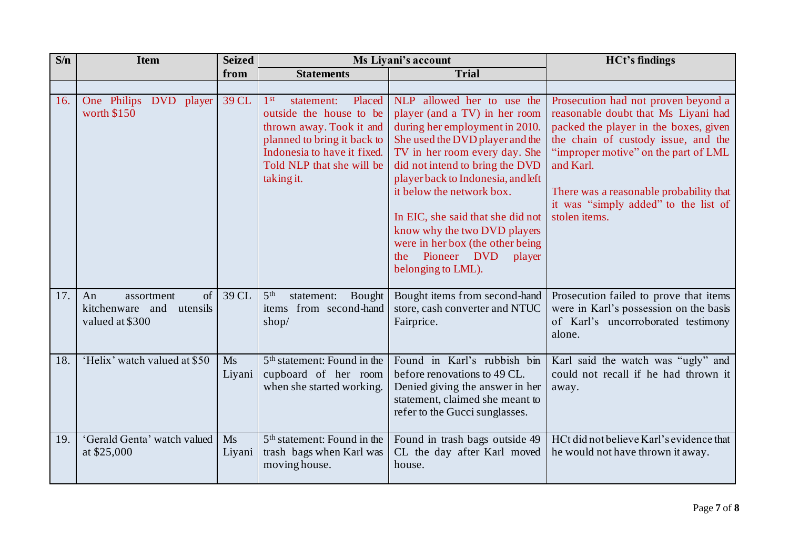| S/n | <b>Item</b>                                                                         | <b>Seized</b> |                                                                                                                                                                                                         | <b>Ms Livani's account</b>                                                                                                                                                                                                                                                                                                                                                                                                             | <b>HCt's findings</b>                                                                                                                                                                                                                                                                                               |
|-----|-------------------------------------------------------------------------------------|---------------|---------------------------------------------------------------------------------------------------------------------------------------------------------------------------------------------------------|----------------------------------------------------------------------------------------------------------------------------------------------------------------------------------------------------------------------------------------------------------------------------------------------------------------------------------------------------------------------------------------------------------------------------------------|---------------------------------------------------------------------------------------------------------------------------------------------------------------------------------------------------------------------------------------------------------------------------------------------------------------------|
|     |                                                                                     | from          | <b>Statements</b>                                                                                                                                                                                       | <b>Trial</b>                                                                                                                                                                                                                                                                                                                                                                                                                           |                                                                                                                                                                                                                                                                                                                     |
|     |                                                                                     |               |                                                                                                                                                                                                         |                                                                                                                                                                                                                                                                                                                                                                                                                                        |                                                                                                                                                                                                                                                                                                                     |
| 16. | One Philips DVD<br>player<br>worth \$150                                            | 39 CL         | 1 <sup>st</sup><br>statement:<br>Placed<br>outside the house to be<br>thrown away. Took it and<br>planned to bring it back to<br>Indonesia to have it fixed.<br>Told NLP that she will be<br>taking it. | NLP allowed her to use the<br>player (and a TV) in her room<br>during her employment in 2010.<br>She used the DVD player and the<br>TV in her room every day. She<br>did not intend to bring the DVD<br>player back to Indonesia, and left<br>it below the network box.<br>In EIC, she said that she did not<br>know why the two DVD players<br>were in her box (the other being<br>Pioneer DVD<br>player<br>the<br>belonging to LML). | Prosecution had not proven beyond a<br>reasonable doubt that Ms Liyani had<br>packed the player in the boxes, given<br>the chain of custody issue, and the<br>"improper motive" on the part of LML<br>and Karl.<br>There was a reasonable probability that<br>it was "simply added" to the list of<br>stolen items. |
| 17. | <sub>of</sub><br>An<br>assortment<br>kitchenware and<br>utensils<br>valued at \$300 | 39 CL         | 5 <sup>th</sup><br><b>Bought</b><br>statement:<br>items from second-hand<br>shop/                                                                                                                       | Bought items from second-hand<br>store, cash converter and NTUC<br>Fairprice.                                                                                                                                                                                                                                                                                                                                                          | Prosecution failed to prove that items<br>were in Karl's possession on the basis<br>of Karl's uncorroborated testimony<br>alone.                                                                                                                                                                                    |
| 18. | 'Helix' watch valued at \$50                                                        | Ms<br>Liyani  | 5 <sup>th</sup> statement: Found in the<br>cupboard of her room<br>when she started working.                                                                                                            | Found in Karl's rubbish bin<br>before renovations to 49 CL.<br>Denied giving the answer in her<br>statement, claimed she meant to<br>refer to the Gucci sunglasses.                                                                                                                                                                                                                                                                    | Karl said the watch was "ugly" and<br>could not recall if he had thrown it<br>away.                                                                                                                                                                                                                                 |
| 19. | 'Gerald Genta' watch valued<br>at \$25,000                                          | Ms<br>Liyani  | 5 <sup>th</sup> statement: Found in the<br>trash bags when Karl was<br>moving house.                                                                                                                    | Found in trash bags outside 49<br>CL the day after Karl moved<br>house.                                                                                                                                                                                                                                                                                                                                                                | HCt did not believe Karl's evidence that<br>he would not have thrown it away.                                                                                                                                                                                                                                       |